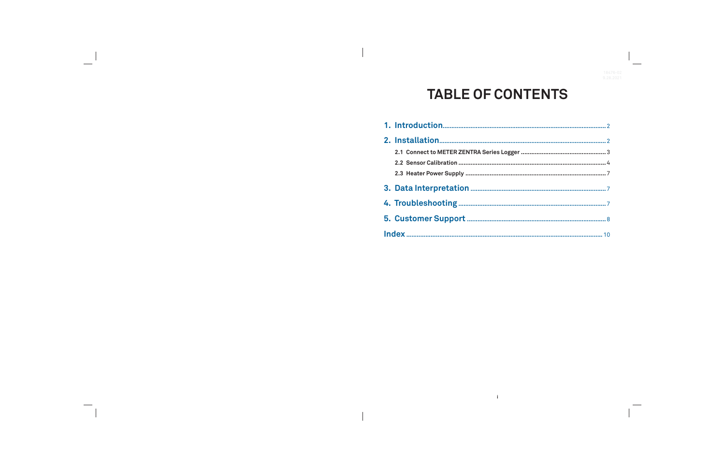# **TABLE OF CONTENTS**

 $\mathbf{r}$ 

 $\overline{\phantom{a}}$ 

| 2.1 Connect to METER ZENTRA Series Logger |
|-------------------------------------------|
|                                           |
|                                           |
|                                           |
|                                           |
|                                           |
|                                           |
|                                           |

 $\overline{\phantom{a}}$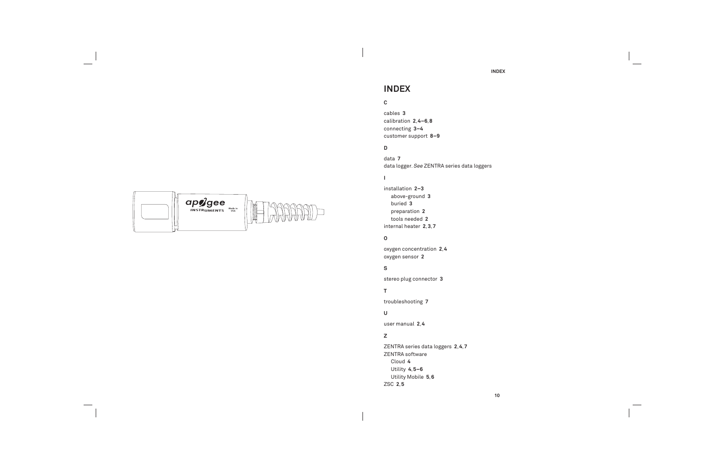

 $\overline{\phantom{a}}$ 

## **INDEX**

### **C**

cables **3** calibration **2**, **4–6**, **8** connecting **3–4** customer support **8–9**

### **D**

data **7** data logger. See ZENTRA series data loggers

### $\mathbf{I}$

installation **2–3** above-ground **3** buried **3** preparation **2** tools needed **2** internal heater **2**, **3**, **7**

### **O**

oxygen concentration **2**, **4** oxygen sensor **2**

### **S**

stereo plug connector **3**

### **T**

troubleshooting **7**

**U**

user manual **2**, **4**

### **Z**

ZENTRA series data loggers **2**, **4**, **7** ZENTRA software Cloud **4** Utility **4**, **5–6** Utility Mobile **5**, **6** ZSC **2**, **5**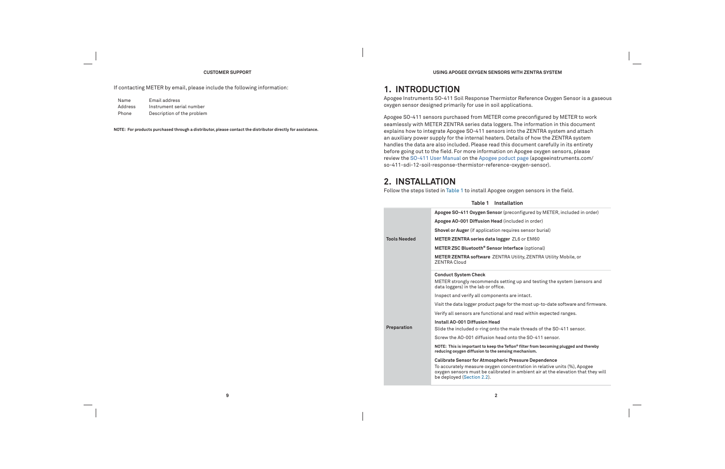#### **CUSTOMER SUPPORT**

If contacting METER by email, please include the following information:

| Name    | Email address              |
|---------|----------------------------|
| Address | Instrument serial number   |
| Phone   | Description of the problem |

**NOTE: For products purchased through a distributor, please contact the distributor directly for assistance.**

**9**

**USING APOGEE OXYGEN SENSORS WITH ZENTRA SYSTEM**

## **1. INTRODUCTION**

Apogee Instruments SO-411 Soil Response Thermistor Reference Oxygen Sensor is a gaseous oxygen sensor designed primarily for use in soil applications.

> **Apogee SO-411 Oxygen Sensor** (preconfi gured by METER, included in order) brder) **Sor burial**) tional)

**ENTRA Utility Mobile, or** 

I testing the system (sensors and

t up-to-date software and firmware.

thin expected ranges.

ads of the SO-411 sensor.

**Note is simple in the Tefan** 

n in relative units (%), Apogee nt air at the elevation that they will

Apogee SO-411 sensors purchased from METER come preconfigured by METER to work seamlessly with METER ZENTRA series data loggers. The information in this document explains how to integrate Apogee SO-411 sensors into the ZENTRA system and attach an auxiliary power supply for the internal heaters. Details of how the ZENTRA system handles the data are also included. Please read this document carefully in its entirety before going out to the field. For more information on Apogee oxygen sensors, please review the SO-411 User Manual on the Apogee poduct page (apogeeinstruments.com/ so-411-sdi-12-soil-response-thermistor-reference-oxygen-sensor).

## **2. INSTALLATION**

**Tools** 

**Prepar** 

Follow the steps listed in Table 1 to install Apogee oxygen sensors in the field.

|        | Table 1 Installation                                                                                                                                                                                                |
|--------|---------------------------------------------------------------------------------------------------------------------------------------------------------------------------------------------------------------------|
|        | Apogee SO-411 Oxygen Sensor (preconfigured by METER,                                                                                                                                                                |
|        | Apogee AO-001 Diffusion Head (included in order)                                                                                                                                                                    |
|        | <b>Shovel or Auger</b> (if application requires sensor burial)                                                                                                                                                      |
| leeded | METER ZENTRA series data logger ZL6 or EM60                                                                                                                                                                         |
|        | METER ZSC Bluetooth <sup>®</sup> Sensor Interface (optional)                                                                                                                                                        |
|        | METER ZENTRA software ZENTRA Utility, ZENTRA Utility<br><b>ZENTRA Cloud</b>                                                                                                                                         |
|        | <b>Conduct System Check</b><br>METER strongly recommends setting up and testing the s<br>data loggers) in the lab or office.                                                                                        |
|        | Inspect and verify all components are intact.                                                                                                                                                                       |
|        | Visit the data logger product page for the most up-to-date s                                                                                                                                                        |
|        | Verify all sensors are functional and read within expected                                                                                                                                                          |
| ation  | Install AO-001 Diffusion Head<br>Slide the included o-ring onto the male threads of the SO                                                                                                                          |
|        | Screw the AO-001 diffusion head onto the SO-411 sensor.                                                                                                                                                             |
|        | NOTE: This is important to keep the Teflon® filter from becoming<br>reducing oxygen diffusion to the sensing mechanism.                                                                                             |
|        | <b>Calibrate Sensor for Atmospheric Pressure Dependence</b><br>To accurately measure oxygen concentration in relative ur<br>oxygen sensors must be calibrated in ambient air at the e<br>be deployed (Section 2.2). |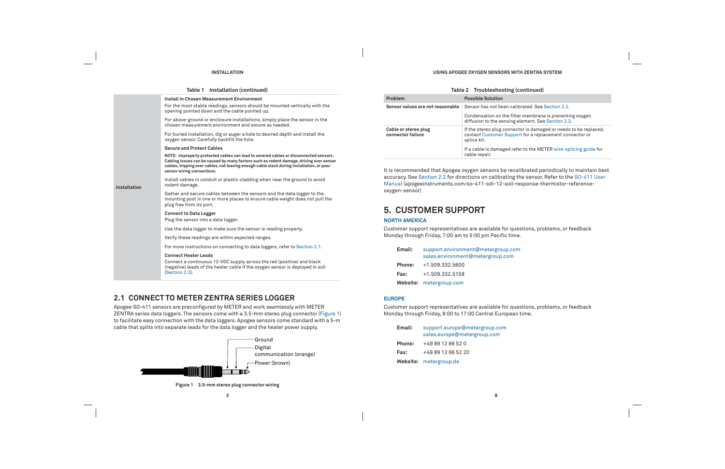#### **INSTALLATION**

|              | Table 1 Installation (continued)                                                                                                                                                                                                                                                                            |
|--------------|-------------------------------------------------------------------------------------------------------------------------------------------------------------------------------------------------------------------------------------------------------------------------------------------------------------|
|              | <b>Install in Chosen Measurement Environment</b><br>For the most stable readings, sensors should be mounted vertically with the<br>opening pointed down and the cable pointed up.                                                                                                                           |
|              | For above-ground or enclosure installations, simply place the sensor in the<br>chosen measurement environment and secure as needed.                                                                                                                                                                         |
|              | For buried installation, dig or auger a hole to desired depth and install the<br>oxygen sensor. Carefully backfill the hole.                                                                                                                                                                                |
|              | <b>Secure and Protect Cables</b>                                                                                                                                                                                                                                                                            |
|              | NOTE: Improperly protected cables can lead to severed cables or disconnected sensors.<br>Cabling issues can be caused by many factors such as rodent damage, driving over sensor<br>cables, tripping over cables, not leaving enough cable slack during installation, or poor<br>sensor wiring connections. |
| Installation | Install cables in conduit or plastic cladding when near the ground to avoid<br>rodent damage.                                                                                                                                                                                                               |
|              | Gather and secure cables between the sensors and the data logger to the<br>mounting post in one or more places to ensure cable weight does not pull the<br>plug free from its port.                                                                                                                         |
|              | <b>Connect to Data Logger</b><br>Plug the sensor into a data logger.                                                                                                                                                                                                                                        |
|              | Use the data logger to make sure the sensor is reading properly.                                                                                                                                                                                                                                            |
|              | Verify these readings are within expected ranges.                                                                                                                                                                                                                                                           |
|              | For more instructions on connecting to data loggers, refer to Section 2.1.                                                                                                                                                                                                                                  |
|              | <b>Connect Heater Leads</b><br>Connect a continuous 12-VDC supply across the red (positive) and black<br>(negative) leads of the heater cable if the oxygen sensor is deployed in soil<br>(Section 2.3).                                                                                                    |

### **2.1 CONNECT TO METER ZENTRA SERIES LOGGER**

Apogee SO-411 sensors are preconfigured by METER and work seamlessly with METER ZENTRA series data loggers. The sensors come with a 3.5-mm stereo plug connector (Figure 1) to facilitate easy connection with the data loggers. Apogee sensors come standard with a 5-m cable that splits into separate leads for the data logger and the heater power supply.



**Figure 1 3.5-mm stereo plug connector wiring**

**8**

### **USING APOGEE OXYGEN SENSORS WITH ZENTRA SYSTEM**

### **Table 2 Troubleshooting (continued)**

| Problem                                   | <b>Possible Solution</b>                                                           |
|-------------------------------------------|------------------------------------------------------------------------------------|
| Sensor values are not reasonable          | Sensor has not been calibrated                                                     |
|                                           | Condensation on the filter mem<br>diffusion to the sensing elemer                  |
| Cable or stereo plug<br>connector failure | If the stereo plug connector is a<br>contact Customer Support for a<br>splice kit. |
|                                           | If a cable is damaged refer to th<br>cable repair.                                 |

It is recommended that Apogee oxygen sensors be recalibrated periodically to maintain best accuracy. See Section 2.2 for directions on calibrating the sensor. Refer to the SO-411 User Manual (apogeeinstruments.com/so-411-sdi-12-soil-response-thermistor-referenceoxygen-sensor)

## **5. CUSTOMER SUPPORT**

### **NORTH AMERICA**

Customer support representatives are available for questions, problems, or feedback Monday through Friday, 7:00 am to 5:00 pm Pacific time.

| Email: | support.environment@metergroup.com<br>sales.environment@metergroup.com |
|--------|------------------------------------------------------------------------|
| Phone: | +1.509.332.5600                                                        |
| Fax:   | +1.509.332.5158                                                        |
|        | Website: metergroup.com                                                |

#### **EUROPE**

Customer support representatives are available for questions, problems, or feedback Monday through Friday, 8:00 to 17:00 Central European time.

| Email:        | support.europe@metergroup.com<br>sales.europe@metergroup.com |
|---------------|--------------------------------------------------------------|
| <b>Phone:</b> | +49 89 12 66 52 0                                            |
| Fax:          | +49 89 12 66 52 20                                           |
|               | <b>Website:</b> metergroup.de                                |

d. See Section 2.2.

nbrane is preventing oxygen nt. See Section 2.3.

damaged or needs to be replaced, a replacement connector or

he METER wire-splicing guide for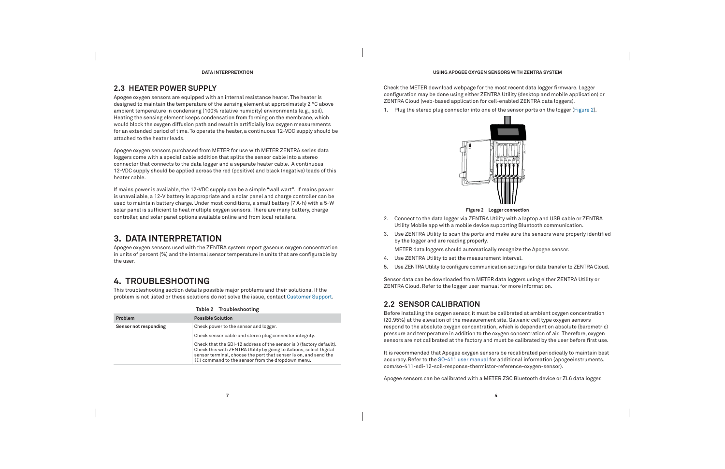### **DATA INTERPRETATION**

### **2.3 HEATER POWER SUPPLY**

Apogee oxygen sensors are equipped with an internal resistance heater. The heater is designed to maintain the temperature of the sensing element at approximately 2 °C above ambient temperature in condensing (100% relative humidity) environments (e.g., soil). Heating the sensing element keeps condensation from forming on the membrane, which would block the oxygen diffusion path and result in artificially low oxygen measurements for an extended period of time. To operate the heater, a continuous 12-VDC supply should be attached to the heater leads.

Apogee oxygen sensors purchased from METER for use with METER ZENTRA series data loggers come with a special cable addition that splits the sensor cable into a stereo connector that connects to the data logger and a separate heater cable. A continuous 12-VDC supply should be applied across the red (positive) and black (negative) leads of this heater cable.

If mains power is available, the 12-VDC supply can be a simple "wall wart". If mains power is unavailable, a 12-V battery is appropriate and a solar panel and charge controller can be used to maintain battery charge. Under most conditions, a small battery (7 A **·** h) with a 5-W solar panel is sufficient to heat multiple oxygen sensors. There are many battery, charge controller, and solar panel options available online and from local retailers.

### **3. DATA INTERPRETATION**

Apogee oxygen sensors used with the ZENTRA system report gaseous oxygen concentration in units of percent (%) and the internal sensor temperature in units that are configurable by the user.

- 4. Use ZENTRA Utility to set the measurement interval.
- 5. Use ZENTRA Utility to configure communication settings for data transfer to ZENTRA Cloud.

### **4. TROUBLESHOOTING**

This troubleshooting section details possible major problems and their solutions. If the problem is not listed or these solutions do not solve the issue, contact Customer Support.

|                       | Table 2 Troubleshooting                                                                                                                                                                                                                                            |
|-----------------------|--------------------------------------------------------------------------------------------------------------------------------------------------------------------------------------------------------------------------------------------------------------------|
| Problem               | <b>Possible Solution</b>                                                                                                                                                                                                                                           |
| Sensor not responding | Check power to the sensor and logger.                                                                                                                                                                                                                              |
|                       | Check sensor cable and stereo plug connector integrity.                                                                                                                                                                                                            |
|                       | Check that the SDI-12 address of the sensor is 0 (factory default).<br>Check this with ZENTRA Utility by going to Actions, select Digital<br>sensor terminal, choose the port that sensor is on, and send the<br>?I! command to the sensor from the dropdown menu. |

**4**

### **USING APOGEE OXYGEN SENSORS WITH ZENTRA SYSTEM**

Check the METER download webpage for the most recent data logger firmware. Logger configuration may be done using either ZENTRA Utility (desktop and mobile application) or ZENTRA Cloud (web-based application for cell-enabled ZENTRA data loggers).

1. Plug the stereo plug connector into one of the sensor ports on the logger (Figure 2).



**Figure 2 Logger connection**

- 2. Connect to the data logger via ZENTRA Utility with a laptop and USB cable or ZENTRA Utility Mobile app with a mobile device supporting Bluetooth communication.
- 3. Use ZENTRA Utility to scan the ports and make sure the sensors were properly identified by the logger and are reading properly.

METER data loggers should automatically recognize the Apogee sensor.

Sensor data can be downloaded from METER data loggers using either ZENTRA Utility or ZENTRA Cloud. Refer to the logger user manual for more information.

### **2.2 SENSOR CALIBRATION**

Before installing the oxygen sensor, it must be calibrated at ambient oxygen concentration (20.95%) at the elevation of the measurement site. Galvanic cell type oxygen sensors respond to the absolute oxygen concentration, which is dependent on absolute (barometric) pressure and temperature in addition to the oxygen concentration of air. Therefore, oxygen sensors are not calibrated at the factory and must be calibrated by the user before first use.

It is recommended that Apogee oxygen sensors be recalibrated periodically to maintain best accuracy. Refer to the SO-411 user manual for additional information (apogeeinstruments. com/so-411-sdi-12-soil-response-thermistor-reference-oxygen-sensor).

Apogee sensors can be calibrated with a METER ZSC Bluetooth device or ZL6 data logger.